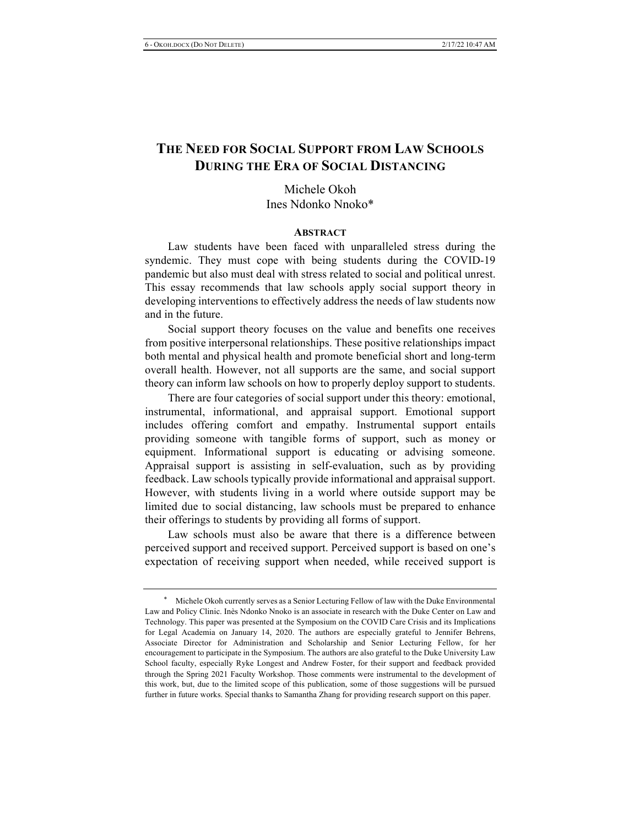# **THE NEED FOR SOCIAL SUPPORT FROM LAW SCHOOLS DURING THE ERA OF SOCIAL DISTANCING**

Michele Okoh Ines Ndonko Nnoko\*

#### **ABSTRACT**

Law students have been faced with unparalleled stress during the syndemic. They must cope with being students during the COVID-19 pandemic but also must deal with stress related to social and political unrest. This essay recommends that law schools apply social support theory in developing interventions to effectively address the needs of law students now and in the future.

Social support theory focuses on the value and benefits one receives from positive interpersonal relationships. These positive relationships impact both mental and physical health and promote beneficial short and long-term overall health. However, not all supports are the same, and social support theory can inform law schools on how to properly deploy support to students.

There are four categories of social support under this theory: emotional, instrumental, informational, and appraisal support. Emotional support includes offering comfort and empathy. Instrumental support entails providing someone with tangible forms of support, such as money or equipment. Informational support is educating or advising someone. Appraisal support is assisting in self-evaluation, such as by providing feedback. Law schools typically provide informational and appraisal support. However, with students living in a world where outside support may be limited due to social distancing, law schools must be prepared to enhance their offerings to students by providing all forms of support.

Law schools must also be aware that there is a difference between perceived support and received support. Perceived support is based on one's expectation of receiving support when needed, while received support is

Michele Okoh currently serves as a Senior Lecturing Fellow of law with the Duke Environmental Law and Policy Clinic. Inès Ndonko Nnoko is an associate in research with the Duke Center on Law and Technology. This paper was presented at the Symposium on the COVID Care Crisis and its Implications for Legal Academia on January 14, 2020. The authors are especially grateful to Jennifer Behrens, Associate Director for Administration and Scholarship and Senior Lecturing Fellow, for her encouragement to participate in the Symposium. The authors are also grateful to the Duke University Law School faculty, especially Ryke Longest and Andrew Foster, for their support and feedback provided through the Spring 2021 Faculty Workshop. Those comments were instrumental to the development of this work, but, due to the limited scope of this publication, some of those suggestions will be pursued further in future works. Special thanks to Samantha Zhang for providing research support on this paper.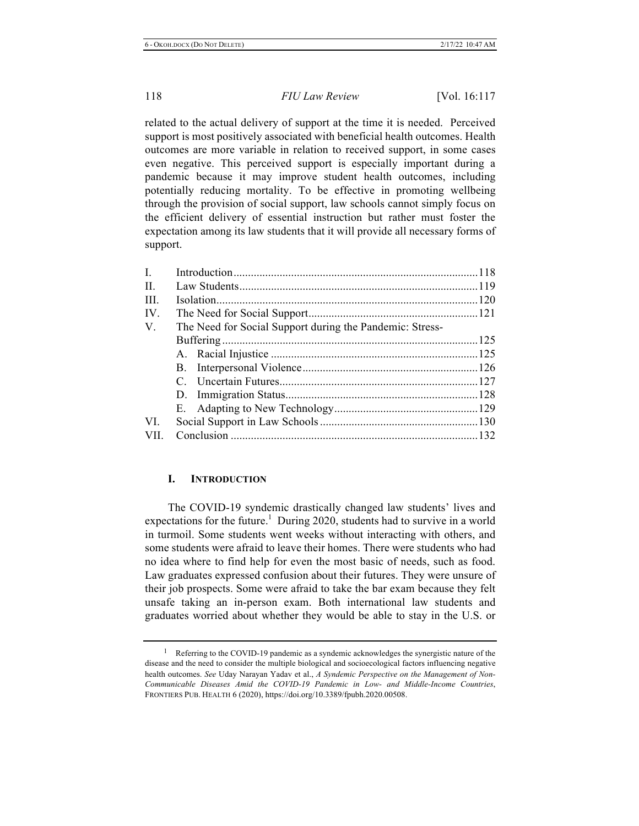related to the actual delivery of support at the time it is needed. Perceived support is most positively associated with beneficial health outcomes. Health outcomes are more variable in relation to received support, in some cases even negative. This perceived support is especially important during a pandemic because it may improve student health outcomes, including potentially reducing mortality. To be effective in promoting wellbeing through the provision of social support, law schools cannot simply focus on the efficient delivery of essential instruction but rather must foster the expectation among its law students that it will provide all necessary forms of support.

| $I_{\cdot}$ |                                                          |  |
|-------------|----------------------------------------------------------|--|
| $\Pi$ .     |                                                          |  |
| III.        |                                                          |  |
| IV.         |                                                          |  |
| V.          | The Need for Social Support during the Pandemic: Stress- |  |
|             |                                                          |  |
|             |                                                          |  |
|             |                                                          |  |
|             |                                                          |  |
|             |                                                          |  |
|             |                                                          |  |
| VI.         |                                                          |  |
| VII.        |                                                          |  |

# **I. INTRODUCTION**

The COVID-19 syndemic drastically changed law students' lives and expectations for the future.<sup>1</sup> During 2020, students had to survive in a world in turmoil. Some students went weeks without interacting with others, and some students were afraid to leave their homes. There were students who had no idea where to find help for even the most basic of needs, such as food. Law graduates expressed confusion about their futures. They were unsure of their job prospects. Some were afraid to take the bar exam because they felt unsafe taking an in-person exam. Both international law students and graduates worried about whether they would be able to stay in the U.S. or

<sup>&</sup>lt;sup>1</sup> Referring to the COVID-19 pandemic as a syndemic acknowledges the synergistic nature of the disease and the need to consider the multiple biological and socioecological factors influencing negative health outcomes. *See* Uday Narayan Yadav et al., *A Syndemic Perspective on the Management of Non-Communicable Diseases Amid the COVID-19 Pandemic in Low- and Middle-Income Countries*, FRONTIERS PUB. HEALTH 6 (2020), https://doi.org/10.3389/fpubh.2020.00508.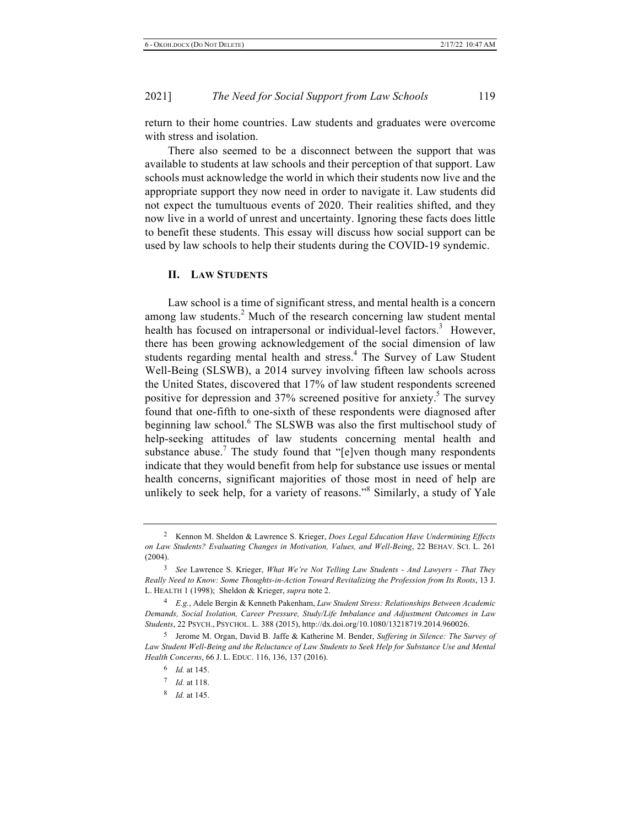return to their home countries. Law students and graduates were overcome with stress and isolation.

There also seemed to be a disconnect between the support that was available to students at law schools and their perception of that support. Law schools must acknowledge the world in which their students now live and the appropriate support they now need in order to navigate it. Law students did not expect the tumultuous events of 2020. Their realities shifted, and they now live in a world of unrest and uncertainty. Ignoring these facts does little to benefit these students. This essay will discuss how social support can be used by law schools to help their students during the COVID-19 syndemic.

#### **II. LAW STUDENTS**

Law school is a time of significant stress, and mental health is a concern among law students. $2$  Much of the research concerning law student mental health has focused on intrapersonal or individual-level factors.<sup>3</sup> However, there has been growing acknowledgement of the social dimension of law students regarding mental health and stress.<sup>4</sup> The Survey of Law Student Well-Being (SLSWB), a 2014 survey involving fifteen law schools across the United States, discovered that 17% of law student respondents screened positive for depression and  $37%$  screened positive for anxiety.<sup>5</sup> The survey found that one-fifth to one-sixth of these respondents were diagnosed after beginning law school.<sup>6</sup> The SLSWB was also the first multischool study of help-seeking attitudes of law students concerning mental health and substance abuse.<sup>7</sup> The study found that "[e]ven though many respondents indicate that they would benefit from help for substance use issues or mental health concerns, significant majorities of those most in need of help are unlikely to seek help, for a variety of reasons."<sup>8</sup> Similarly, a study of Yale

<sup>2</sup> Kennon M. Sheldon & Lawrence S. Krieger, *Does Legal Education Have Undermining Effects on Law Students? Evaluating Changes in Motivation, Values, and Well-Being*, 22 BEHAV. SCI. L. 261  $(2004).$ 

<sup>3</sup> *See* Lawrence S. Krieger, *What We're Not Telling Law Students - And Lawyers - That They Really Need to Know: Some Thoughts-in-Action Toward Revitalizing the Profession from Its Roots*, 13 J. L. HEALTH 1 (1998); Sheldon & Krieger, *supra* note 2.

<sup>4</sup> *E.g.*, Adele Bergin & Kenneth Pakenham, *Law Student Stress: Relationships Between Academic Demands, Social Isolation, Career Pressure, Study/Life Imbalance and Adjustment Outcomes in Law Students*, 22 PSYCH., PSYCHOL. L. 388 (2015), http://dx.doi.org/10.1080/13218719.2014.960026.

<sup>5</sup> Jerome M. Organ, David B. Jaffe & Katherine M. Bender, *Suffering in Silence: The Survey of*  Law Student Well-Being and the Reluctance of Law Students to Seek Help for Substance Use and Mental *Health Concerns*, 66 J. L. EDUC. 116, 136, 137 (2016).

<sup>6</sup> *Id.* at 145.

<sup>7</sup> *Id.* at 118.

<sup>8</sup> *Id.* at 145.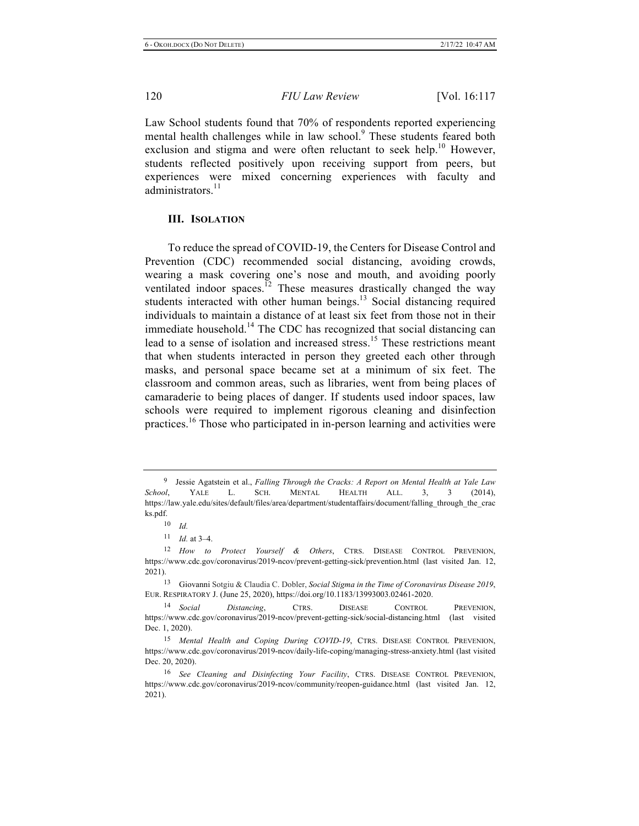Law School students found that 70% of respondents reported experiencing mental health challenges while in law school.<sup>9</sup> These students feared both exclusion and stigma and were often reluctant to seek help.<sup>10</sup> However, students reflected positively upon receiving support from peers, but experiences were mixed concerning experiences with faculty and administrators. $11$ 

# **III. ISOLATION**

To reduce the spread of COVID-19, the Centers for Disease Control and Prevention (CDC) recommended social distancing, avoiding crowds, wearing a mask covering one's nose and mouth, and avoiding poorly ventilated indoor spaces.<sup>12</sup> These measures drastically changed the way students interacted with other human beings. $13$  Social distancing required individuals to maintain a distance of at least six feet from those not in their immediate household.<sup>14</sup> The CDC has recognized that social distancing can lead to a sense of isolation and increased stress.<sup>15</sup> These restrictions meant that when students interacted in person they greeted each other through masks, and personal space became set at a minimum of six feet. The classroom and common areas, such as libraries, went from being places of camaraderie to being places of danger. If students used indoor spaces, law schools were required to implement rigorous cleaning and disinfection practices.<sup>16</sup> Those who participated in in-person learning and activities were

<sup>9</sup> Jessie Agatstein et al., *Falling Through the Cracks: A Report on Mental Health at Yale Law School*, YALE L. SCH. MENTAL HEALTH ALL. 3, 3 (2014), https://law.yale.edu/sites/default/files/area/department/studentaffairs/document/falling\_through\_the\_crac ks.pdf.

<sup>10</sup> *Id.*

<sup>11</sup> *Id.* at 3–4.

<sup>12</sup> *How to Protect Yourself & Others*, CTRS. DISEASE CONTROL PREVENION, https://www.cdc.gov/coronavirus/2019-ncov/prevent-getting-sick/prevention.html (last visited Jan. 12, 2021).

<sup>13</sup> Giovanni Sotgiu & Claudia C. Dobler, *Social Stigma in the Time of Coronavirus Disease 2019*, EUR. RESPIRATORY J. (June 25, 2020), https://doi.org/10.1183/13993003.02461-2020.

<sup>14</sup> *Social Distancing*, CTRS. DISEASE CONTROL PREVENION, https://www.cdc.gov/coronavirus/2019-ncov/prevent-getting-sick/social-distancing.html (last visited Dec. 1, 2020).

<sup>15</sup> *Mental Health and Coping During COVID-19*, CTRS. DISEASE CONTROL PREVENION, https://www.cdc.gov/coronavirus/2019-ncov/daily-life-coping/managing-stress-anxiety.html (last visited Dec. 20, 2020).

<sup>16</sup> *See Cleaning and Disinfecting Your Facility*, CTRS. DISEASE CONTROL PREVENION, https://www.cdc.gov/coronavirus/2019-ncov/community/reopen-guidance.html (last visited Jan. 12, 2021).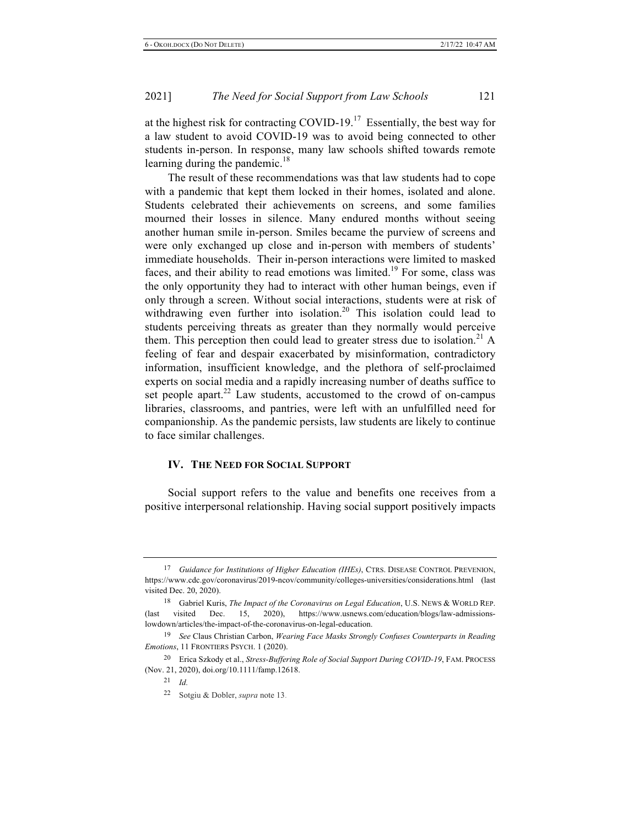at the highest risk for contracting COVID-19.<sup>17</sup> Essentially, the best way for a law student to avoid COVID-19 was to avoid being connected to other students in-person. In response, many law schools shifted towards remote learning during the pandemic.<sup>18</sup>

The result of these recommendations was that law students had to cope with a pandemic that kept them locked in their homes, isolated and alone. Students celebrated their achievements on screens, and some families mourned their losses in silence. Many endured months without seeing another human smile in-person. Smiles became the purview of screens and were only exchanged up close and in-person with members of students' immediate households. Their in-person interactions were limited to masked faces, and their ability to read emotions was limited.<sup>19</sup> For some, class was the only opportunity they had to interact with other human beings, even if only through a screen. Without social interactions, students were at risk of withdrawing even further into isolation.<sup>20</sup> This isolation could lead to students perceiving threats as greater than they normally would perceive them. This perception then could lead to greater stress due to isolation.<sup>21</sup> A feeling of fear and despair exacerbated by misinformation, contradictory information, insufficient knowledge, and the plethora of self-proclaimed experts on social media and a rapidly increasing number of deaths suffice to set people apart. $22$  Law students, accustomed to the crowd of on-campus libraries, classrooms, and pantries, were left with an unfulfilled need for companionship. As the pandemic persists, law students are likely to continue to face similar challenges.

# **IV. THE NEED FOR SOCIAL SUPPORT**

Social support refers to the value and benefits one receives from a positive interpersonal relationship. Having social support positively impacts

<sup>17</sup> *Guidance for Institutions of Higher Education (IHEs)*, CTRS. DISEASE CONTROL PREVENION, https://www.cdc.gov/coronavirus/2019-ncov/community/colleges-universities/considerations.html (last visited Dec. 20, 2020).

<sup>18</sup> Gabriel Kuris, *The Impact of the Coronavirus on Legal Education*, U.S. NEWS & WORLD REP. (last visited Dec. 15, 2020), https://www.usnews.com/education/blogs/law-admissionslowdown/articles/the-impact-of-the-coronavirus-on-legal-education.

<sup>19</sup> *See* Claus Christian Carbon, *Wearing Face Masks Strongly Confuses Counterparts in Reading Emotions*, 11 FRONTIERS PSYCH. 1 (2020).

<sup>20</sup> Erica Szkody et al., *Stress-Buffering Role of Social Support During COVID-19*, FAM. PROCESS (Nov. 21, 2020), doi.org/10.1111/famp.12618.

<sup>21</sup> *Id.*

<sup>22</sup> Sotgiu & Dobler, *supra* note 13.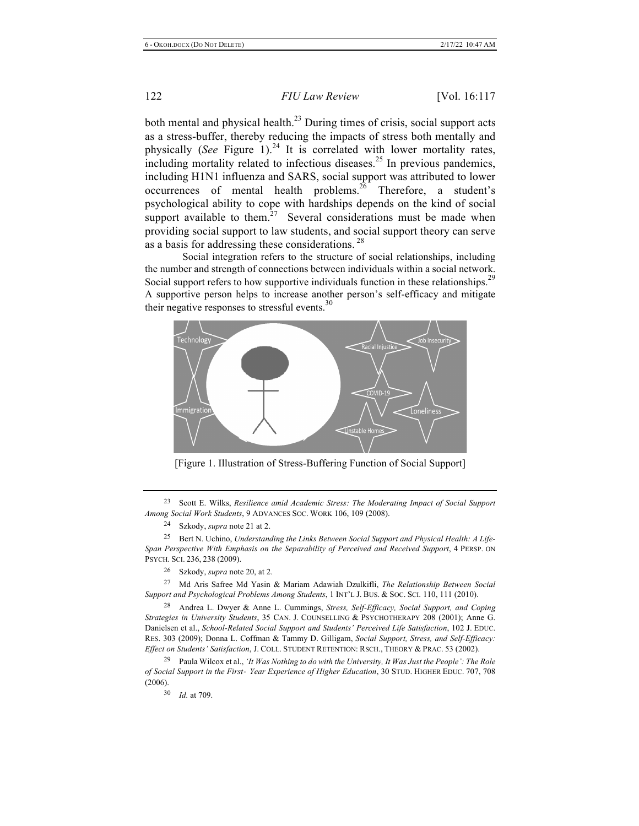both mental and physical health. $^{23}$  During times of crisis, social support acts as a stress-buffer, thereby reducing the impacts of stress both mentally and physically (*See* Figure 1).<sup>24</sup> It is correlated with lower mortality rates,  $\frac{1}{2}$  including mortality related to infectious diseases.<sup>25</sup> In previous pandemics, including H1N1 influenza and SARS, social support was attributed to lower occurrences of mental health problems.<sup>26</sup> Therefore, a student's psychological ability to cope with hardships depends on the kind of social support available to them. $27$  Several considerations must be made when providing social support to law students, and social support theory can serve as a basis for addressing these considerations.<sup>28</sup>

Social integration refers to the structure of social relationships, including the number and strength of connections between individuals within a social network. Social support refers to how supportive individuals function in these relationships.<sup>29</sup> A supportive person helps to increase another person's self-efficacy and mitigate their negative responses to stressful events.<sup>30</sup>



[Figure 1. Illustration of Stress-Buffering Function of Social Support]

23 Scott E. Wilks, *Resilience amid Academic Stress: The Moderating Impact of Social Support Among Social Work Students*, 9 ADVANCES SOC. WORK 106, 109 (2008).

25 Bert N. Uchino, *Understanding the Links Between Social Support and Physical Health: A Life-Span Perspective With Emphasis on the Separability of Perceived and Received Support*, 4 PERSP. ON PSYCH. SCI. 236, 238 (2009).

27 Md Aris Safree Md Yasin & Mariam Adawiah Dzulkifli, *The Relationship Between Social Support and Psychological Problems Among Students*, 1 INT'L J. BUS. & SOC. SCI. 110, 111 (2010).

28 Andrea L. Dwyer & Anne L. Cummings, *Stress, Self-Efficacy, Social Support, and Coping Strategies in University Students*, 35 CAN. J. COUNSELLING & PSYCHOTHERAPY 208 (2001); Anne G. Danielsen et al., *School-Related Social Support and Students' Perceived Life Satisfaction*, 102 J. EDUC. RES. 303 (2009); Donna L. Coffman & Tammy D. Gilligam, *Social Support, Stress, and Self-Efficacy: Effect on Students' Satisfaction*, J. COLL. STUDENT RETENTION: RSCH., THEORY & PRAC. 53 (2002).

29 Paula Wilcox et al., *'It Was Nothing to do with the University, It Was Just the People': The Role of Social Support in the First*- *Year Experience of Higher Education*, 30 STUD. HIGHER EDUC. 707, 708 (2006).

30 *Id.* at 709.

<sup>24</sup> Szkody, *supra* note 21 at 2.

<sup>26</sup> Szkody, *supra* note 20, at 2.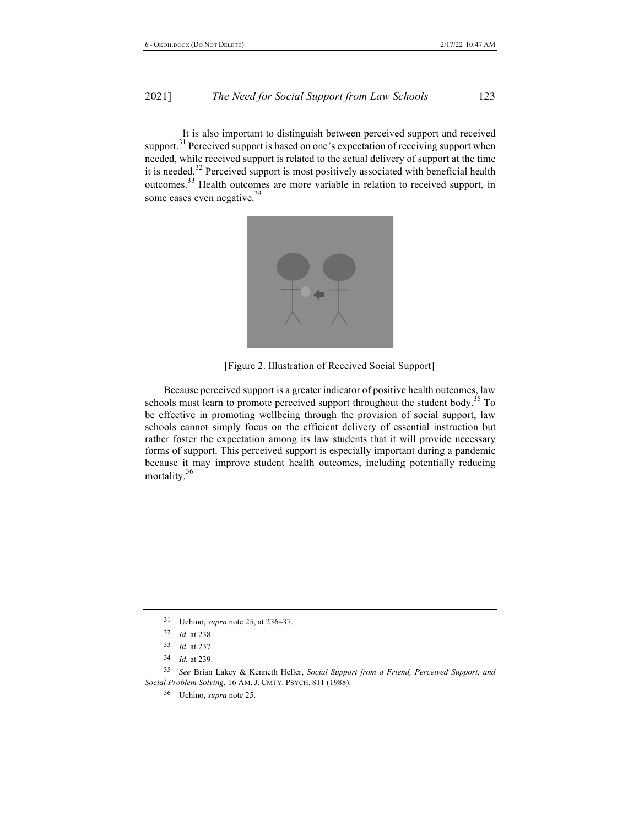It is also important to distinguish between perceived support and received support.<sup>31</sup> Perceived support is based on one's expectation of receiving support when needed, while received support is related to the actual delivery of support at the time it is needed.<sup>32</sup> Perceived support is most positively associated with beneficial health outcomes.33 Health outcomes are more variable in relation to received support, in some cases even negative.<sup>34</sup>



[Figure 2. Illustration of Received Social Support]

Because perceived support is a greater indicator of positive health outcomes, law schools must learn to promote perceived support throughout the student body.<sup>35</sup> To be effective in promoting wellbeing through the provision of social support, law schools cannot simply focus on the efficient delivery of essential instruction but rather foster the expectation among its law students that it will provide necessary forms of support. This perceived support is especially important during a pandemic because it may improve student health outcomes, including potentially reducing mortality.36

35 *See* Brian Lakey & Kenneth Heller, *Social Support from a Friend, Perceived Support, and Social Problem Solving*, 16 AM. J. CMTY. PSYCH. 811 (1988).

36 Uchino, *supra* note 25.

<sup>31</sup> Uchino, *supra* note 25, at 236–37.

<sup>32</sup> *Id.* at 238.

<sup>33</sup> *Id.* at 237.

<sup>34</sup> *Id.* at 239.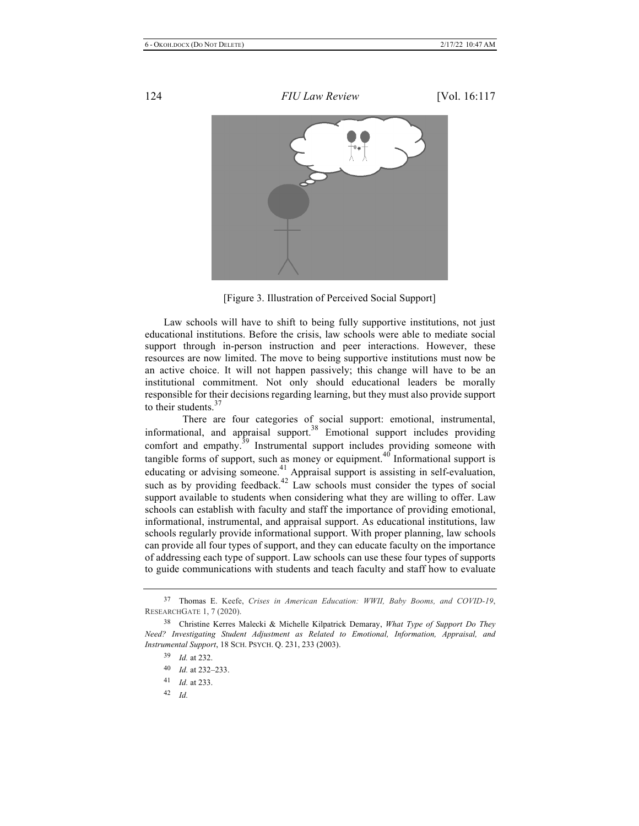

[Figure 3. Illustration of Perceived Social Support]

Law schools will have to shift to being fully supportive institutions, not just educational institutions. Before the crisis, law schools were able to mediate social support through in-person instruction and peer interactions. However, these resources are now limited. The move to being supportive institutions must now be an active choice. It will not happen passively; this change will have to be an institutional commitment. Not only should educational leaders be morally responsible for their decisions regarding learning, but they must also provide support to their students.<sup>37</sup>

There are four categories of social support: emotional, instrumental, informational, and appraisal support.<sup>38</sup> Emotional support includes providing comfort and empathy.<sup>39</sup> Instrumental support includes providing someone with tangible forms of support, such as money or equipment. $40$  Informational support is educating or advising someone.<sup>41</sup> Appraisal support is assisting in self-evaluation, such as by providing feedback.<sup>42</sup> Law schools must consider the types of social support available to students when considering what they are willing to offer. Law schools can establish with faculty and staff the importance of providing emotional, informational, instrumental, and appraisal support. As educational institutions, law schools regularly provide informational support. With proper planning, law schools can provide all four types of support, and they can educate faculty on the importance of addressing each type of support. Law schools can use these four types of supports to guide communications with students and teach faculty and staff how to evaluate

<sup>37</sup> Thomas E. Keefe, *Crises in American Education: WWII, Baby Booms, and COVID-19*, RESEARCHGATE 1, 7 (2020).

<sup>38</sup> Christine Kerres Malecki & Michelle Kilpatrick Demaray, *What Type of Support Do They Need? Investigating Student Adjustment as Related to Emotional, Information, Appraisal, and Instrumental Support*, 18 SCH. PSYCH. Q. 231, 233 (2003).

<sup>39</sup> *Id.* at 232.

<sup>40</sup> *Id.* at 232–233.

<sup>41</sup> *Id.* at 233.

<sup>42</sup> *Id.*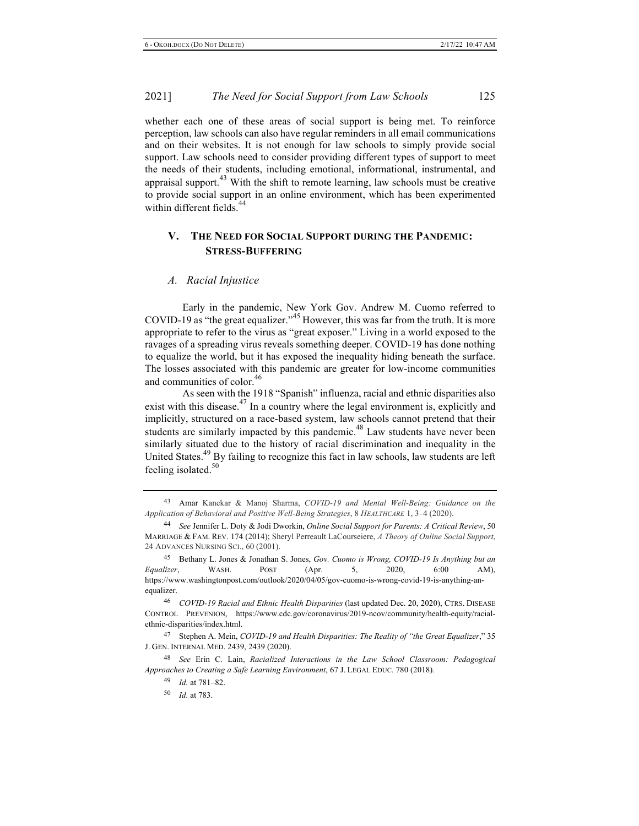whether each one of these areas of social support is being met. To reinforce perception, law schools can also have regular reminders in all email communications and on their websites. It is not enough for law schools to simply provide social support. Law schools need to consider providing different types of support to meet the needs of their students, including emotional, informational, instrumental, and appraisal support.<sup>43</sup> With the shift to remote learning, law schools must be creative to provide social support in an online environment, which has been experimented within different fields.<sup>44</sup>

# **V. THE NEED FOR SOCIAL SUPPORT DURING THE PANDEMIC: STRESS-BUFFERING**

#### *A. Racial Injustice*

Early in the pandemic, New York Gov. Andrew M. Cuomo referred to COVID-19 as "the great equalizer."45 However, this was far from the truth. It is more appropriate to refer to the virus as "great exposer." Living in a world exposed to the ravages of a spreading virus reveals something deeper. COVID-19 has done nothing to equalize the world, but it has exposed the inequality hiding beneath the surface. The losses associated with this pandemic are greater for low-income communities and communities of color.<sup>46</sup>

As seen with the 1918 "Spanish" influenza, racial and ethnic disparities also exist with this disease.<sup>47</sup> In a country where the legal environment is, explicitly and implicitly, structured on a race-based system, law schools cannot pretend that their students are similarly impacted by this pandemic.<sup>48</sup> Law students have never been similarly situated due to the history of racial discrimination and inequality in the United States.<sup>49</sup> By failing to recognize this fact in law schools, law students are left feeling isolated.<sup>50</sup>

<sup>43</sup> Amar Kanekar & Manoj Sharma, *COVID-19 and Mental Well-Being: Guidance on the Application of Behavioral and Positive Well-Being Strategies*, 8 *HEALTHCARE* 1, 3–4 (2020).

<sup>44</sup> *See* Jennifer L. Doty & Jodi Dworkin, *Online Social Support for Parents: A Critical Review*, 50 MARRIAGE & FAM. REV. 174 (2014); Sheryl Perreault LaCourseiere, *A Theory of Online Social Support*, 24 ADVANCES NURSING SCI., 60 (2001).

<sup>45</sup> Bethany L. Jones & Jonathan S. Jones, *Gov. Cuomo is Wrong, COVID-19 Is Anything but an Equalizer*, WASH. POST (Apr. 5, 2020, 6:00 AM), https://www.washingtonpost.com/outlook/2020/04/05/gov-cuomo-is-wrong-covid-19-is-anything-anequalizer.

<sup>46</sup> *COVID-19 Racial and Ethnic Health Disparities* (last updated Dec. 20, 2020), CTRS. DISEASE CONTROL PREVENION, https://www.cdc.gov/coronavirus/2019-ncov/community/health-equity/racialethnic-disparities/index.html.

<sup>47</sup> Stephen A. Mein, *COVID-19 and Health Disparities: The Reality of "the Great Equalizer*," 35 J. GEN. INTERNAL MED. 2439, 2439 (2020).

<sup>48</sup> *See* Erin C. Lain, *Racialized Interactions in the Law School Classroom: Pedagogical Approaches to Creating a Safe Learning Environment*, 67 J. LEGAL EDUC. 780 (2018).

<sup>49</sup> *Id.* at 781–82.

<sup>50</sup> *Id.* at 783.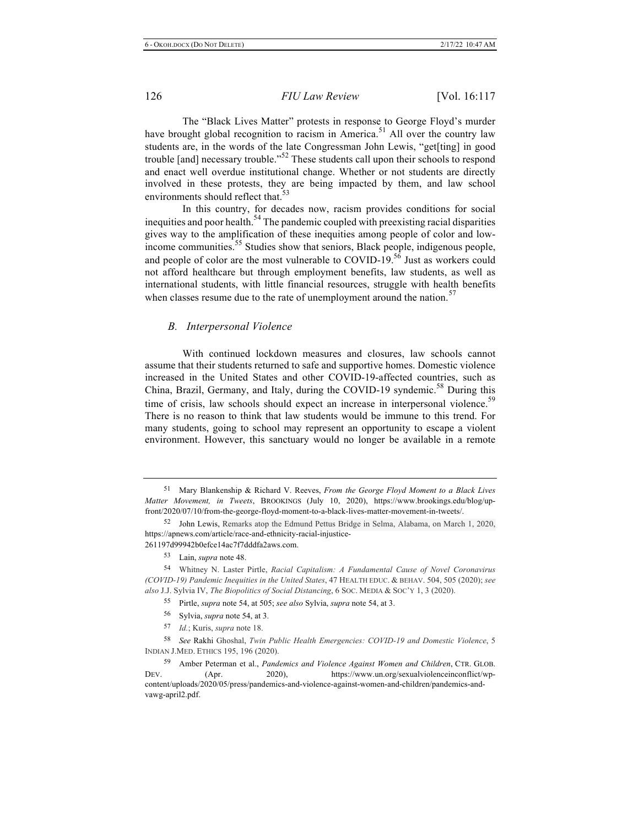The "Black Lives Matter" protests in response to George Floyd's murder have brought global recognition to racism in America.<sup>51</sup> All over the country law students are, in the words of the late Congressman John Lewis, "get[ting] in good trouble [and] necessary trouble.<sup> $52$ </sup> These students call upon their schools to respond and enact well overdue institutional change. Whether or not students are directly involved in these protests, they are being impacted by them, and law school environments should reflect that.<sup>53</sup>

In this country, for decades now, racism provides conditions for social inequities and poor health.<sup>54</sup> The pandemic coupled with preexisting racial disparities gives way to the amplification of these inequities among people of color and lowincome communities.<sup>55</sup> Studies show that seniors, Black people, indigenous people, and people of color are the most vulnerable to  $\text{COVID-19.5}^{\text{6}}$  Just as workers could not afford healthcare but through employment benefits, law students, as well as international students, with little financial resources, struggle with health benefits when classes resume due to the rate of unemployment around the nation. $57$ 

# *B. Interpersonal Violence*

With continued lockdown measures and closures, law schools cannot assume that their students returned to safe and supportive homes. Domestic violence increased in the United States and other COVID-19-affected countries, such as China, Brazil, Germany, and Italy, during the COVID-19 syndemic.<sup>58</sup> During this time of crisis, law schools should expect an increase in interpersonal violence.<sup>59</sup> There is no reason to think that law students would be immune to this trend. For many students, going to school may represent an opportunity to escape a violent environment. However, this sanctuary would no longer be available in a remote

- 55 Pirtle, *supra* note 54, at 505; *see also* Sylvia, *supra* note 54, at 3.
- 56 Sylvia, *supra* note 54, at 3.
- 57 *Id.*; Kuris, *supra* note 18.

58 *See* Rakhi Ghoshal, *Twin Public Health Emergencies: COVID-19 and Domestic Violence*, 5 INDIAN J.MED. ETHICS 195, 196 (2020).

59 Amber Peterman et al., *Pandemics and Violence Against Women and Children*, CTR. GLOB. DEV. (Apr. 2020), https://www.un.org/sexualviolenceinconflict/wpcontent/uploads/2020/05/press/pandemics-and-violence-against-women-and-children/pandemics-andvawg-april2.pdf.

<sup>51</sup> Mary Blankenship & Richard V. Reeves, *From the George Floyd Moment to a Black Lives Matter Movement, in Tweets*, BROOKINGS (July 10, 2020), https://www.brookings.edu/blog/upfront/2020/07/10/from-the-george-floyd-moment-to-a-black-lives-matter-movement-in-tweets/.

<sup>52</sup> John Lewis, Remarks atop the Edmund Pettus Bridge in Selma, Alabama, on March 1, 2020, https://apnews.com/article/race-and-ethnicity-racial-injustice-261197d99942b0efce14ac7f7dddfa2aws.com.

<sup>53</sup> Lain, *supra* note 48.

<sup>54</sup> Whitney N. Laster Pirtle, *Racial Capitalism: A Fundamental Cause of Novel Coronavirus (COVID-19) Pandemic Inequities in the United States*, 47 HEALTH EDUC. & BEHAV. 504, 505 (2020); *see also* J.J. Sylvia IV, *The Biopolitics of Social Distancing*, 6 SOC. MEDIA & SOC'Y 1, 3 (2020).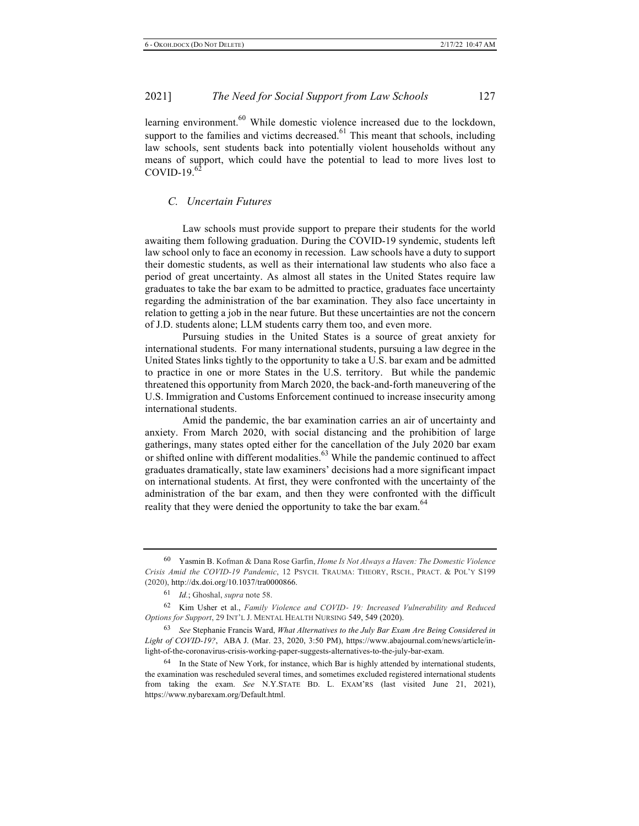learning environment.<sup>60</sup> While domestic violence increased due to the lockdown, support to the families and victims decreased.<sup>61</sup> This meant that schools, including law schools, sent students back into potentially violent households without any means of support, which could have the potential to lead to more lives lost to COVID-19 $<sup>62</sup>$ </sup>

# *C. Uncertain Futures*

Law schools must provide support to prepare their students for the world awaiting them following graduation. During the COVID-19 syndemic, students left law school only to face an economy in recession. Law schools have a duty to support their domestic students, as well as their international law students who also face a period of great uncertainty. As almost all states in the United States require law graduates to take the bar exam to be admitted to practice, graduates face uncertainty regarding the administration of the bar examination. They also face uncertainty in relation to getting a job in the near future. But these uncertainties are not the concern of J.D. students alone; LLM students carry them too, and even more.

Pursuing studies in the United States is a source of great anxiety for international students. For many international students, pursuing a law degree in the United States links tightly to the opportunity to take a U.S. bar exam and be admitted to practice in one or more States in the U.S. territory. But while the pandemic threatened this opportunity from March 2020, the back-and-forth maneuvering of the U.S. Immigration and Customs Enforcement continued to increase insecurity among international students.

Amid the pandemic, the bar examination carries an air of uncertainty and anxiety. From March 2020, with social distancing and the prohibition of large gatherings, many states opted either for the cancellation of the July 2020 bar exam or shifted online with different modalities.<sup>63</sup> While the pandemic continued to affect graduates dramatically, state law examiners' decisions had a more significant impact on international students. At first, they were confronted with the uncertainty of the administration of the bar exam, and then they were confronted with the difficult reality that they were denied the opportunity to take the bar exam.<sup>64</sup>

<sup>60</sup> Yasmin B. Kofman & Dana Rose Garfin, *Home Is Not Always a Haven: The Domestic Violence Crisis Amid the COVID-19 Pandemic*, 12 PSYCH. TRAUMA: THEORY, RSCH., PRACT. & POL'Y S199 (2020), http://dx.doi.org/10.1037/tra0000866.

<sup>61</sup> *Id.*; Ghoshal, *supra* note 58.

<sup>62</sup> Kim Usher et al., *Family Violence and COVID*- *19: Increased Vulnerability and Reduced Options for Support*, 29 INT'L J. MENTAL HEALTH NURSING 549, 549 (2020).

<sup>63</sup> *See* Stephanie Francis Ward, *What Alternatives to the July Bar Exam Are Being Considered in Light of COVID-19?*, ABA J. (Mar. 23, 2020, 3:50 PM), https://www.abajournal.com/news/article/inlight-of-the-coronavirus-crisis-working-paper-suggests-alternatives-to-the-july-bar-exam.

<sup>&</sup>lt;sup>64</sup> In the State of New York, for instance, which Bar is highly attended by international students, the examination was rescheduled several times, and sometimes excluded registered international students from taking the exam. *See* N.Y.STATE BD. L. EXAM'RS (last visited June 21, 2021), https://www.nybarexam.org/Default.html.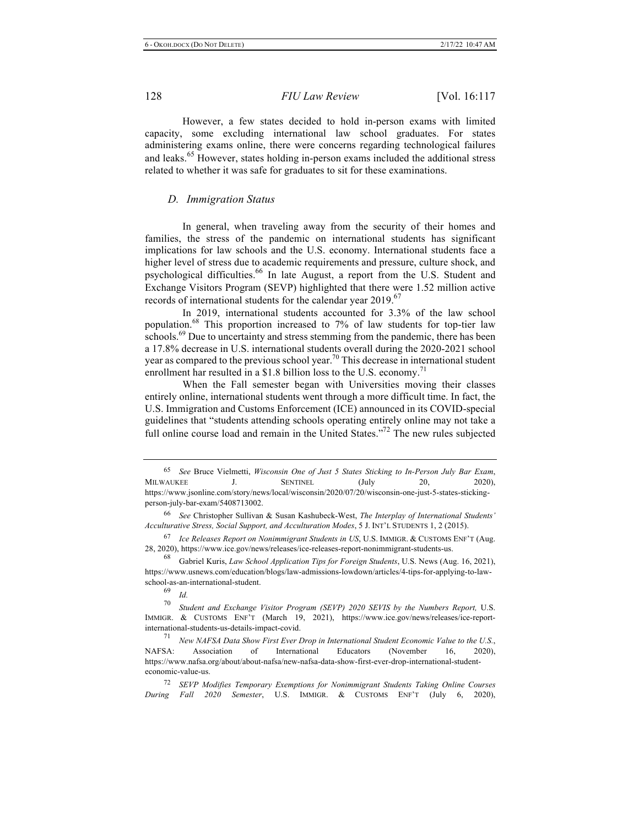However, a few states decided to hold in-person exams with limited capacity, some excluding international law school graduates. For states administering exams online, there were concerns regarding technological failures and leaks.<sup>65</sup> However, states holding in-person exams included the additional stress related to whether it was safe for graduates to sit for these examinations.

#### *D. Immigration Status*

In general, when traveling away from the security of their homes and families, the stress of the pandemic on international students has significant implications for law schools and the U.S. economy. International students face a higher level of stress due to academic requirements and pressure, culture shock, and psychological difficulties.<sup>66</sup> In late August, a report from the U.S. Student and Exchange Visitors Program (SEVP) highlighted that there were 1.52 million active records of international students for the calendar year 2019.<sup>67</sup>

In 2019, international students accounted for 3.3% of the law school population.68 This proportion increased to 7% of law students for top-tier law schools.<sup>69</sup> Due to uncertainty and stress stemming from the pandemic, there has been a 17.8% decrease in U.S. international students overall during the 2020-2021 school year as compared to the previous school year.<sup>70</sup> This decrease in international student enrollment har resulted in a \$1.8 billion loss to the U.S. economy.<sup>71</sup>

When the Fall semester began with Universities moving their classes entirely online, international students went through a more difficult time. In fact, the U.S. Immigration and Customs Enforcement (ICE) announced in its COVID-special guidelines that "students attending schools operating entirely online may not take a full online course load and remain in the United States."<sup>72</sup> The new rules subjected

<sup>65</sup> *See* Bruce Vielmetti, *Wisconsin One of Just 5 States Sticking to In-Person July Bar Exam*, MILWAUKEE J. SENTINEL (July 20, 2020), https://www.jsonline.com/story/news/local/wisconsin/2020/07/20/wisconsin-one-just-5-states-stickingperson-july-bar-exam/5408713002.

<sup>66</sup> *See* Christopher Sullivan & Susan Kashubeck-West, *The Interplay of International Students' Acculturative Stress, Social Support, and Acculturation Modes*, 5 J. INT'L STUDENTS 1, 2 (2015).

<sup>67</sup> *Ice Releases Report on Nonimmigrant Students in US*, U.S. IMMIGR. & CUSTOMS ENF'T (Aug. 28, 2020), https://www.ice.gov/news/releases/ice-releases-report-nonimmigrant-students-us. 68 Gabriel Kuris, *Law School Application Tips for Foreign Students*, U.S. News (Aug. 16, 2021),

https://www.usnews.com/education/blogs/law-admissions-lowdown/articles/4-tips-for-applying-to-lawschool-as-an-international-student.<br><sup>69</sup> *Id.*<br>70 *Student and Euchano* 

Student and Exchange Visitor Program (SEVP) 2020 SEVIS by the Numbers Report, U.S. IMMIGR. & CUSTOMS ENF'T (March 19, 2021), https://www.ice.gov/news/releases/ice-reportinternational-students-us-details-impact-covid. 71 *New NAFSA Data Show First Ever Drop in International Student Economic Value to the U.S.*,

NAFSA: Association of International Educators (November 16, 2020), https://www.nafsa.org/about/about-nafsa/new-nafsa-data-show-first-ever-drop-international-studenteconomic-value-us.

<sup>72</sup> *SEVP Modifies Temporary Exemptions for Nonimmigrant Students Taking Online Courses During Fall 2020 Semester*, U.S. IMMIGR. & CUSTOMS ENF'T (July 6, 2020),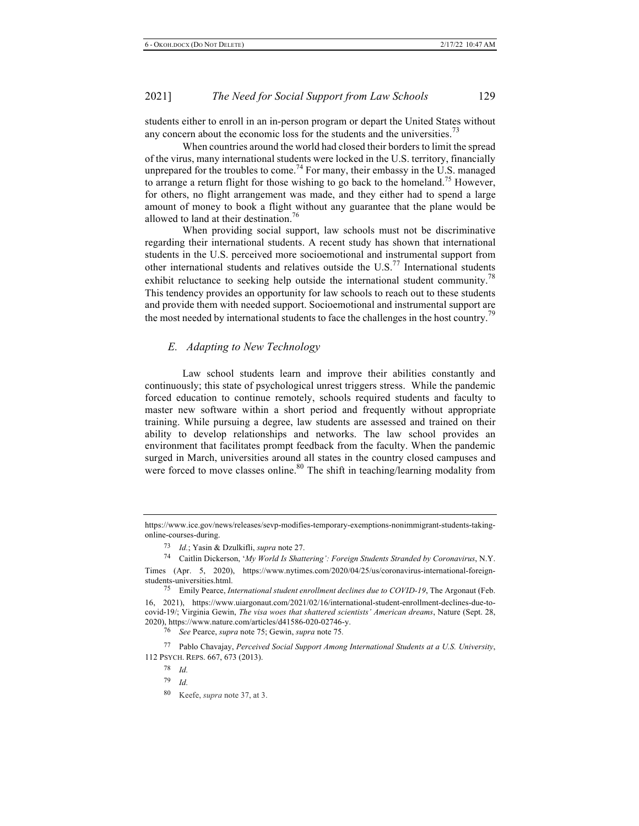students either to enroll in an in-person program or depart the United States without any concern about the economic loss for the students and the universities.<sup>73</sup>

When countries around the world had closed their borders to limit the spread of the virus, many international students were locked in the U.S. territory, financially unprepared for the troubles to come.<sup>74</sup> For many, their embassy in the U.S. managed to arrange a return flight for those wishing to go back to the homeland.<sup>75</sup> However, for others, no flight arrangement was made, and they either had to spend a large amount of money to book a flight without any guarantee that the plane would be allowed to land at their destination.<sup>76</sup>

When providing social support, law schools must not be discriminative regarding their international students. A recent study has shown that international students in the U.S. perceived more socioemotional and instrumental support from other international students and relatives outside the  $U.S.<sup>77</sup>$  International students exhibit reluctance to seeking help outside the international student community.<sup>78</sup> This tendency provides an opportunity for law schools to reach out to these students and provide them with needed support. Socioemotional and instrumental support are the most needed by international students to face the challenges in the host country.<sup>79</sup>

#### *E. Adapting to New Technology*

Law school students learn and improve their abilities constantly and continuously; this state of psychological unrest triggers stress. While the pandemic forced education to continue remotely, schools required students and faculty to master new software within a short period and frequently without appropriate training. While pursuing a degree, law students are assessed and trained on their ability to develop relationships and networks. The law school provides an environment that facilitates prompt feedback from the faculty. When the pandemic surged in March, universities around all states in the country closed campuses and were forced to move classes online.<sup>80</sup> The shift in teaching/learning modality from

https://www.ice.gov/news/releases/sevp-modifies-temporary-exemptions-nonimmigrant-students-takingonline-courses-during.

<sup>73</sup> *Id.*; Yasin & Dzulkifli, *supra* note 27.

<sup>74</sup> Caitlin Dickerson, '*My World Is Shattering': Foreign Students Stranded by Coronavirus*, N.Y. Times (Apr. 5, 2020), https://www.nytimes.com/2020/04/25/us/coronavirus-international-foreign-

<sup>&</sup>lt;sup>75</sup> Emily Pearce, *International student enrollment declines due to COVID-19*, The Argonaut (Feb. 16, 2021), https://www.uiargonaut.com/2021/02/16/international-student-enrollment-declines-due-tocovid-19/; Virginia Gewin, *The visa woes that shattered scientists' American dreams*, Nature (Sept. 28,

<sup>2020),</sup> https://www.nature.com/articles/d41586-020-02746-y. 76 *See* Pearce, *supra* note 75; Gewin, *supra* note 75*.*

<sup>77</sup> Pablo Chavajay, *Perceived Social Support Among International Students at a U.S. University*, 112 PSYCH. REPS. 667, 673 (2013).

<sup>78</sup> *Id.*

<sup>79</sup> *Id.*

<sup>80</sup> Keefe, *supra* note 37, at 3.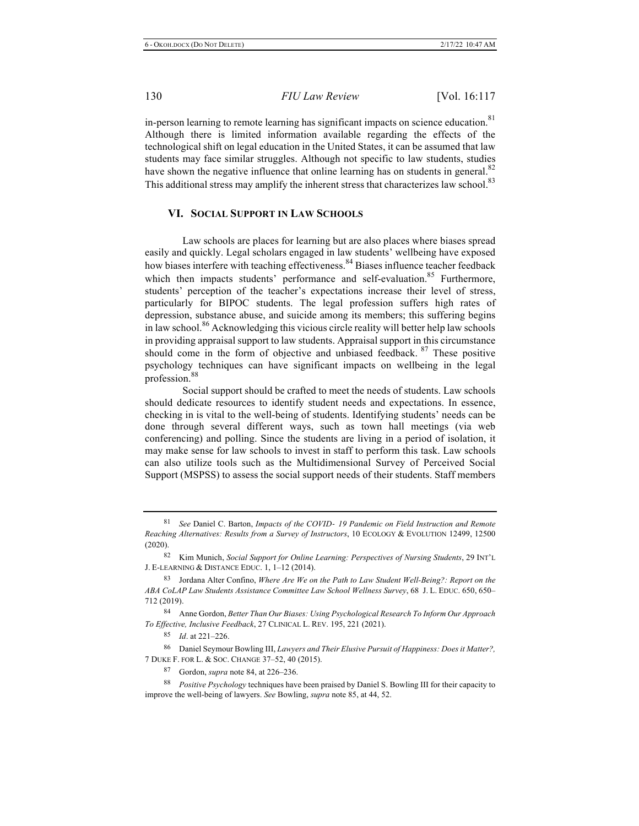in-person learning to remote learning has significant impacts on science education.<sup>81</sup> Although there is limited information available regarding the effects of the technological shift on legal education in the United States, it can be assumed that law students may face similar struggles. Although not specific to law students, studies have shown the negative influence that online learning has on students in general.<sup>82</sup> This additional stress may amplify the inherent stress that characterizes law school.<sup>83</sup>

#### **VI. SOCIAL SUPPORT IN LAW SCHOOLS**

Law schools are places for learning but are also places where biases spread easily and quickly. Legal scholars engaged in law students' wellbeing have exposed how biases interfere with teaching effectiveness.<sup>84</sup> Biases influence teacher feedback which then impacts students' performance and self-evaluation.<sup>85</sup> Furthermore, students' perception of the teacher's expectations increase their level of stress, particularly for BIPOC students. The legal profession suffers high rates of depression, substance abuse, and suicide among its members; this suffering begins in law school.<sup>86</sup> Acknowledging this vicious circle reality will better help law schools in providing appraisal support to law students. Appraisal support in this circumstance should come in the form of objective and unbiased feedback. <sup>87</sup> These positive psychology techniques can have significant impacts on wellbeing in the legal profession.<sup>88</sup>

Social support should be crafted to meet the needs of students. Law schools should dedicate resources to identify student needs and expectations. In essence, checking in is vital to the well-being of students. Identifying students' needs can be done through several different ways, such as town hall meetings (via web conferencing) and polling. Since the students are living in a period of isolation, it may make sense for law schools to invest in staff to perform this task. Law schools can also utilize tools such as the Multidimensional Survey of Perceived Social Support (MSPSS) to assess the social support needs of their students. Staff members

84 Anne Gordon, *Better Than Our Biases: Using Psychological Research To Inform Our Approach To Effective, Inclusive Feedback*, 27 CLINICAL L. REV. 195, 221 (2021).

85 *Id*. at 221–226.

86 Daniel Seymour Bowling III, *Lawyers and Their Elusive Pursuit of Happiness: Does it Matter?,* 7 DUKE F. FOR L. & SOC. CHANGE 37–52, 40 (2015).

87 Gordon, *supra* note 84, at 226–236.

88 *Positive Psychology* techniques have been praised by Daniel S. Bowling III for their capacity to improve the well-being of lawyers. *See* Bowling, *supra* note 85, at 44, 52.

<sup>81</sup> *See* Daniel C. Barton, *Impacts of the COVID*- *19 Pandemic on Field Instruction and Remote Reaching Alternatives: Results from a Survey of Instructors*, 10 ECOLOGY & EVOLUTION 12499, 12500 (2020).

<sup>82</sup> Kim Munich, *Social Support for Online Learning: Perspectives of Nursing Students*, 29 INT'L J. E-LEARNING & DISTANCE EDUC. 1, 1–12 (2014).

<sup>83</sup> Jordana Alter Confino, *Where Are We on the Path to Law Student Well-Being?: Report on the ABA CoLAP Law Students Assistance Committee Law School Wellness Survey*, 68 J. L. EDUC. 650, 650– 712 (2019).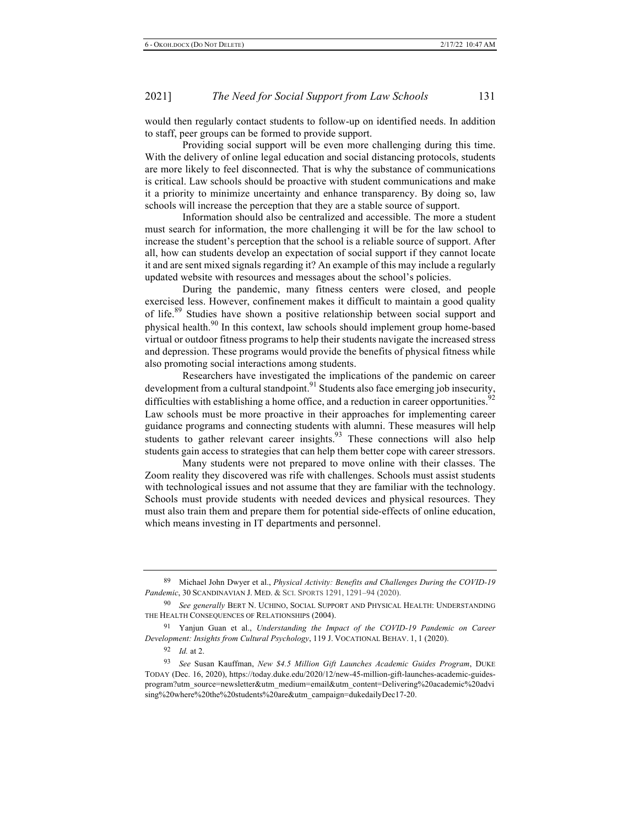would then regularly contact students to follow-up on identified needs. In addition to staff, peer groups can be formed to provide support.

Providing social support will be even more challenging during this time. With the delivery of online legal education and social distancing protocols, students are more likely to feel disconnected. That is why the substance of communications is critical. Law schools should be proactive with student communications and make it a priority to minimize uncertainty and enhance transparency. By doing so, law schools will increase the perception that they are a stable source of support.

Information should also be centralized and accessible. The more a student must search for information, the more challenging it will be for the law school to increase the student's perception that the school is a reliable source of support. After all, how can students develop an expectation of social support if they cannot locate it and are sent mixed signals regarding it? An example of this may include a regularly updated website with resources and messages about the school's policies.

During the pandemic, many fitness centers were closed, and people exercised less. However, confinement makes it difficult to maintain a good quality of life.<sup>89</sup> Studies have shown a positive relationship between social support and physical health.<sup>90</sup> In this context, law schools should implement group home-based virtual or outdoor fitness programs to help their students navigate the increased stress and depression. These programs would provide the benefits of physical fitness while also promoting social interactions among students.

Researchers have investigated the implications of the pandemic on career development from a cultural standpoint. $91$  Students also face emerging job insecurity, difficulties with establishing a home office, and a reduction in career opportunities.<sup>92</sup> Law schools must be more proactive in their approaches for implementing career guidance programs and connecting students with alumni. These measures will help students to gather relevant career insights. $93$  These connections will also help students gain access to strategies that can help them better cope with career stressors.

Many students were not prepared to move online with their classes. The Zoom reality they discovered was rife with challenges. Schools must assist students with technological issues and not assume that they are familiar with the technology. Schools must provide students with needed devices and physical resources. They must also train them and prepare them for potential side-effects of online education, which means investing in IT departments and personnel.

<sup>89</sup> Michael John Dwyer et al., *Physical Activity: Benefits and Challenges During the COVID-19 Pandemic*, 30 SCANDINAVIAN J. MED. & SCI. SPORTS 1291, 1291–94 (2020).

<sup>90</sup> *See generally* BERT N. UCHINO, SOCIAL SUPPORT AND PHYSICAL HEALTH: UNDERSTANDING THE HEALTH CONSEQUENCES OF RELATIONSHIPS (2004).

<sup>91</sup> Yanjun Guan et al., *Understanding the Impact of the COVID-19 Pandemic on Career Development: Insights from Cultural Psychology*, 119 J. VOCATIONAL BEHAV. 1, 1 (2020).

<sup>92</sup> *Id.* at 2.

<sup>93</sup> *See* Susan Kauffman, *New \$4.5 Million Gift Launches Academic Guides Program*, DUKE TODAY (Dec. 16, 2020), https://today.duke.edu/2020/12/new-45-million-gift-launches-academic-guidesprogram?utm\_source=newsletter&utm\_medium=email&utm\_content=Delivering%20academic%20advi sing%20where%20the%20students%20are&utm\_campaign=dukedailyDec17-20.